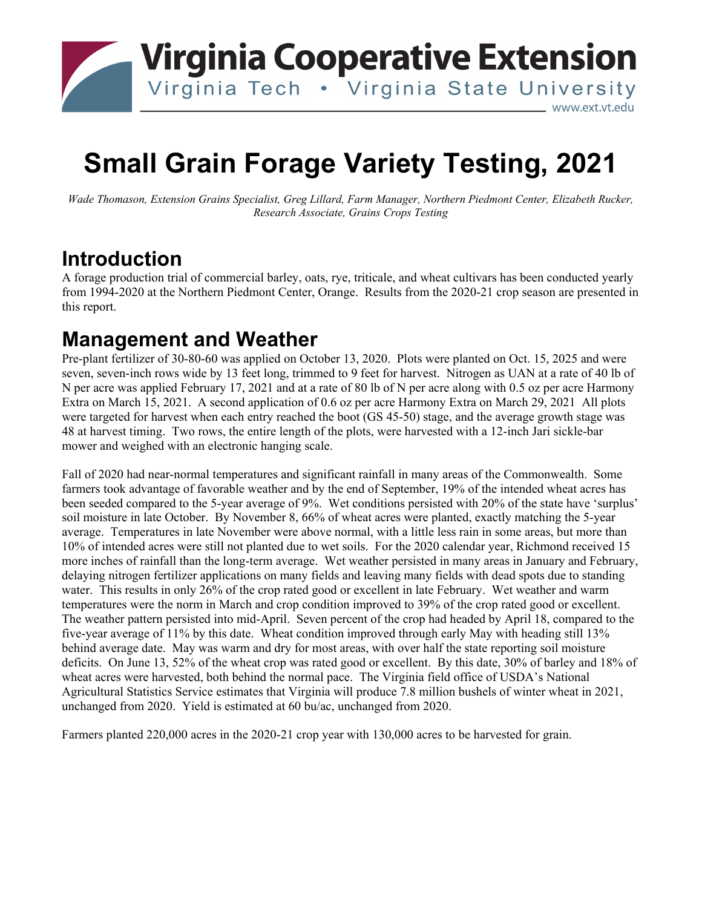

# **Small Grain Forage Variety Testing, 2021**

*Wade Thomason, Extension Grains Specialist, Greg Lillard, Farm Manager, Northern Piedmont Center, Elizabeth Rucker, Research Associate, Grains Crops Testing*

## **Introduction**

A forage production trial of commercial barley, oats, rye, triticale, and wheat cultivars has been conducted yearly from 1994-2020 at the Northern Piedmont Center, Orange. Results from the 2020-21 crop season are presented in this report.

#### **Management and Weather**

Pre-plant fertilizer of 30-80-60 was applied on October 13, 2020. Plots were planted on Oct. 15, 2025 and were seven, seven-inch rows wide by 13 feet long, trimmed to 9 feet for harvest. Nitrogen as UAN at a rate of 40 lb of N per acre was applied February 17, 2021 and at a rate of 80 lb of N per acre along with 0.5 oz per acre Harmony Extra on March 15, 2021. A second application of 0.6 oz per acre Harmony Extra on March 29, 2021 All plots were targeted for harvest when each entry reached the boot (GS 45-50) stage, and the average growth stage was 48 at harvest timing. Two rows, the entire length of the plots, were harvested with a 12-inch Jari sickle-bar mower and weighed with an electronic hanging scale.

Fall of 2020 had near-normal temperatures and significant rainfall in many areas of the Commonwealth. Some farmers took advantage of favorable weather and by the end of September, 19% of the intended wheat acres has been seeded compared to the 5-year average of 9%. Wet conditions persisted with 20% of the state have 'surplus' soil moisture in late October. By November 8, 66% of wheat acres were planted, exactly matching the 5-year average. Temperatures in late November were above normal, with a little less rain in some areas, but more than 10% of intended acres were still not planted due to wet soils. For the 2020 calendar year, Richmond received 15 more inches of rainfall than the long-term average. Wet weather persisted in many areas in January and February, delaying nitrogen fertilizer applications on many fields and leaving many fields with dead spots due to standing water. This results in only 26% of the crop rated good or excellent in late February. Wet weather and warm temperatures were the norm in March and crop condition improved to 39% of the crop rated good or excellent. The weather pattern persisted into mid-April. Seven percent of the crop had headed by April 18, compared to the five-year average of 11% by this date. Wheat condition improved through early May with heading still 13% behind average date. May was warm and dry for most areas, with over half the state reporting soil moisture deficits. On June 13, 52% of the wheat crop was rated good or excellent. By this date, 30% of barley and 18% of wheat acres were harvested, both behind the normal pace. The Virginia field office of USDA's National Agricultural Statistics Service estimates that Virginia will produce 7.8 million bushels of winter wheat in 2021, unchanged from 2020. Yield is estimated at 60 bu/ac, unchanged from 2020.

Farmers planted 220,000 acres in the 2020-21 crop year with 130,000 acres to be harvested for grain.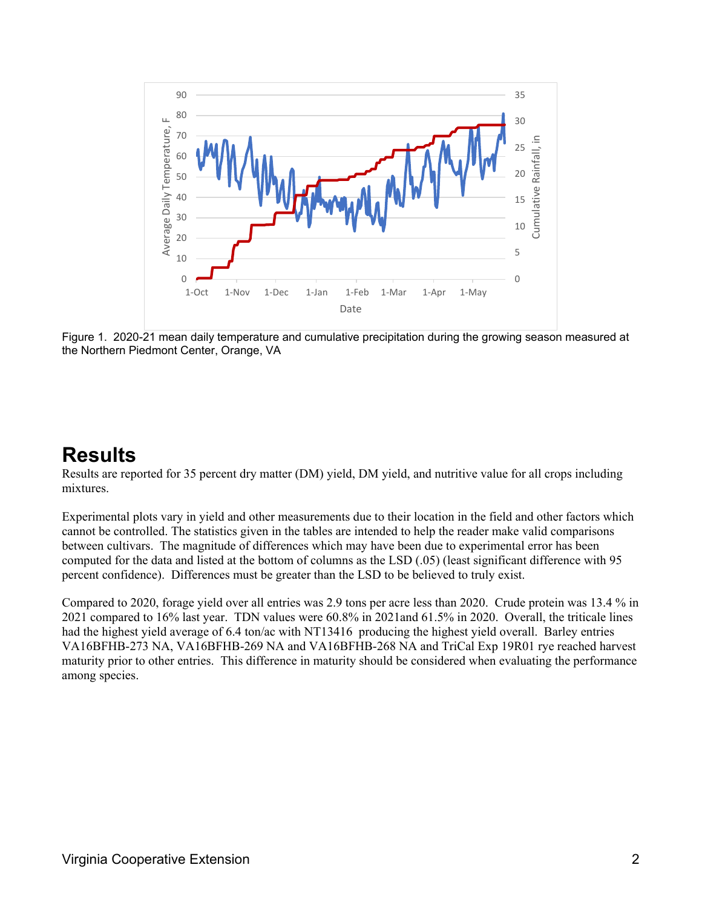

Figure 1. 2020-21 mean daily temperature and cumulative precipitation during the growing season measured at the Northern Piedmont Center, Orange, VA

### **Results**

Results are reported for 35 percent dry matter (DM) yield, DM yield, and nutritive value for all crops including mixtures.

Experimental plots vary in yield and other measurements due to their location in the field and other factors which cannot be controlled. The statistics given in the tables are intended to help the reader make valid comparisons between cultivars. The magnitude of differences which may have been due to experimental error has been computed for the data and listed at the bottom of columns as the LSD (.05) (least significant difference with 95 percent confidence). Differences must be greater than the LSD to be believed to truly exist.

Compared to 2020, forage yield over all entries was 2.9 tons per acre less than 2020. Crude protein was 13.4 % in 2021 compared to 16% last year. TDN values were 60.8% in 2021and 61.5% in 2020. Overall, the triticale lines had the highest yield average of 6.4 ton/ac with NT13416 producing the highest yield overall. Barley entries VA16BFHB-273 NA, VA16BFHB-269 NA and VA16BFHB-268 NA and TriCal Exp 19R01 rye reached harvest maturity prior to other entries. This difference in maturity should be considered when evaluating the performance among species.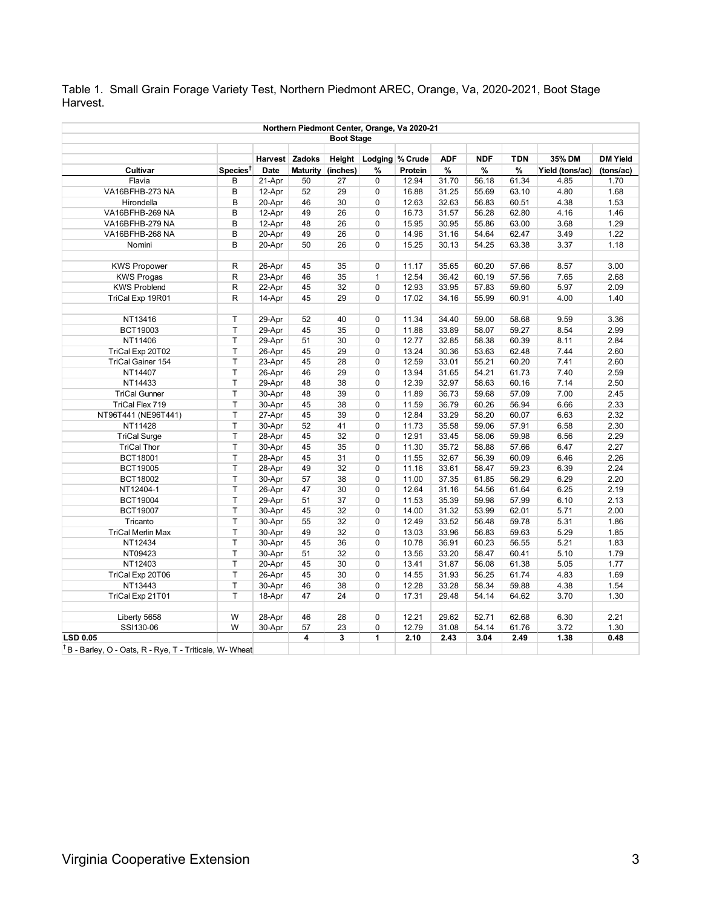Table 1. Small Grain Forage Variety Test, Northern Piedmont AREC, Orange, Va, 2020-2021, Boot Stage Harvest.

| Northern Piedmont Center, Orange, Va 2020-21<br><b>Boot Stage</b>   |                      |        |    |                   |              |         |       |       |       |                 |           |
|---------------------------------------------------------------------|----------------------|--------|----|-------------------|--------------|---------|-------|-------|-------|-----------------|-----------|
|                                                                     |                      |        |    |                   |              |         |       |       |       |                 |           |
| Cultivar                                                            | Species <sup>t</sup> | Date   |    | Maturity (inches) | %            | Protein | %     | %     | %     | Yield (tons/ac) | (tons/ac) |
| Flavia                                                              | B                    | 21-Apr | 50 | 27                | 0            | 12.94   | 31.70 | 56.18 | 61.34 | 4.85            | 1.70      |
| VA16BFHB-273 NA                                                     | B                    | 12-Apr | 52 | 29                | 0            | 16.88   | 31.25 | 55.69 | 63.10 | 4.80            | 1.68      |
| Hirondella                                                          | B                    | 20-Apr | 46 | 30                | 0            | 12.63   | 32.63 | 56.83 | 60.51 | 4.38            | 1.53      |
| VA16BFHB-269 NA                                                     | B                    | 12-Apr | 49 | 26                | 0            | 16.73   | 31.57 | 56.28 | 62.80 | 4.16            | 1.46      |
| VA16BFHB-279 NA                                                     | B                    | 12-Apr | 48 | 26                | 0            | 15.95   | 30.95 | 55.86 | 63.00 | 3.68            | 1.29      |
| VA16BFHB-268 NA                                                     | B                    | 20-Apr | 49 | 26                | 0            | 14.96   | 31.16 | 54.64 | 62.47 | 3.49            | 1.22      |
| Nomini                                                              | B                    | 20-Apr | 50 | 26                | 0            | 15.25   | 30.13 | 54.25 | 63.38 | 3.37            | 1.18      |
|                                                                     |                      |        |    |                   |              |         |       |       |       |                 |           |
| <b>KWS Propower</b>                                                 | R                    | 26-Apr | 45 | 35                | $\mathbf 0$  | 11.17   | 35.65 | 60.20 | 57.66 | 8.57            | 3.00      |
| <b>KWS Progas</b>                                                   | ${\sf R}$            | 23-Apr | 46 | 35                | $\mathbf{1}$ | 12.54   | 36.42 | 60.19 | 57.56 | 7.65            | 2.68      |
| <b>KWS Problend</b>                                                 | $\sf R$              | 22-Apr | 45 | 32                | 0            | 12.93   | 33.95 | 57.83 | 59.60 | 5.97            | 2.09      |
| TriCal Exp 19R01                                                    | $\mathsf{R}$         | 14-Apr | 45 | 29                | 0            | 17.02   | 34.16 | 55.99 | 60.91 | 4.00            | 1.40      |
|                                                                     |                      |        |    |                   |              |         |       |       |       |                 |           |
| NT13416                                                             | $\top$               | 29-Apr | 52 | 40                | 0            | 11.34   | 34.40 | 59.00 | 58.68 | 9.59            | 3.36      |
| BCT19003                                                            | $\mathsf T$          | 29-Apr | 45 | 35                | $\Omega$     | 11.88   | 33.89 | 58.07 | 59.27 | 8.54            | 2.99      |
| NT11406                                                             | $\mathsf T$          | 29-Apr | 51 | 30                | 0            | 12.77   | 32.85 | 58.38 | 60.39 | 8.11            | 2.84      |
| TriCal Exp 20T02                                                    | $\top$               | 26-Apr | 45 | 29                | $\Omega$     | 13.24   | 30.36 | 53.63 | 62.48 | 7.44            | 2.60      |
| TriCal Gainer 154                                                   | $\top$               | 23-Apr | 45 | 28                | 0            | 12.59   | 33.01 | 55.21 | 60.20 | 7.41            | 2.60      |
| NT14407                                                             | $\top$               | 26-Apr | 46 | 29                | $\mathbf 0$  | 13.94   | 31.65 | 54.21 | 61.73 | 7.40            | 2.59      |
| NT14433                                                             | $\mathsf T$          | 29-Apr | 48 | 38                | 0            | 12.39   | 32.97 | 58.63 | 60.16 | 7.14            | 2.50      |
| <b>TriCal Gunner</b>                                                | $\top$               | 30-Apr | 48 | 39                | $\mathbf 0$  | 11.89   | 36.73 | 59.68 | 57.09 | 7.00            | 2.45      |
| TriCal Flex 719                                                     | $\top$               | 30-Apr | 45 | 38                | 0            | 11.59   | 36.79 | 60.26 | 56.94 | 6.66            | 2.33      |
| NT96T441 (NE96T441)                                                 | $\top$               | 27-Apr | 45 | 39                | 0            | 12.84   | 33.29 | 58.20 | 60.07 | 6.63            | 2.32      |
| NT11428                                                             | $\sf T$              | 30-Apr | 52 | 41                | 0            | 11.73   | 35.58 | 59.06 | 57.91 | 6.58            | 2.30      |
| <b>TriCal Surge</b>                                                 | $\sf T$              | 28-Apr | 45 | 32                | $\mathbf 0$  | 12.91   | 33.45 | 58.06 | 59.98 | 6.56            | 2.29      |
| <b>TriCal Thor</b>                                                  | $\top$               | 30-Apr | 45 | 35                | 0            | 11.30   | 35.72 | 58.88 | 57.66 | 6.47            | 2.27      |
| BCT18001                                                            | $\top$               | 28-Apr | 45 | 31                | 0            | 11.55   | 32.67 | 56.39 | 60.09 | 6.46            | 2.26      |
| <b>BCT19005</b>                                                     | T                    | 28-Apr | 49 | 32                | 0            | 11.16   | 33.61 | 58.47 | 59.23 | 6.39            | 2.24      |
| BCT18002                                                            | $\top$               | 30-Apr | 57 | 38                | 0            | 11.00   | 37.35 | 61.85 | 56.29 | 6.29            | 2.20      |
| NT12404-1                                                           | $\top$               | 26-Apr | 47 | 30                | 0            | 12.64   | 31.16 | 54.56 | 61.64 | 6.25            | 2.19      |
| <b>BCT19004</b>                                                     | $\top$               | 29-Apr | 51 | 37                | 0            | 11.53   | 35.39 | 59.98 | 57.99 | 6.10            | 2.13      |
| <b>BCT19007</b>                                                     | $\top$               | 30-Apr | 45 | 32                | 0            | 14.00   | 31.32 | 53.99 | 62.01 | 5.71            | 2.00      |
| Tricanto                                                            | $\top$               | 30-Apr | 55 | 32                | 0            | 12.49   | 33.52 | 56.48 | 59.78 | 5.31            | 1.86      |
| <b>TriCal Merlin Max</b>                                            | $\sf T$              | 30-Apr | 49 | 32                | 0            | 13.03   | 33.96 | 56.83 | 59.63 | 5.29            | 1.85      |
| NT12434                                                             | $\top$               | 30-Apr | 45 | 36                | 0            | 10.78   | 36.91 | 60.23 | 56.55 | 5.21            | 1.83      |
| NT09423                                                             | $\top$               | 30-Apr | 51 | 32                | 0            | 13.56   | 33.20 | 58.47 | 60.41 | 5.10            | 1.79      |
| NT12403                                                             | $\top$               | 20-Apr | 45 | 30                | 0            | 13.41   | 31.87 | 56.08 | 61.38 | 5.05            | 1.77      |
| TriCal Exp 20T06                                                    | $\top$               | 26-Apr | 45 | 30                | 0            | 14.55   | 31.93 | 56.25 | 61.74 | 4.83            | 1.69      |
| NT13443                                                             | $\top$               | 30-Apr | 46 | 38                | 0            | 12.28   | 33.28 | 58.34 | 59.88 | 4.38            | 1.54      |
| TriCal Exp 21T01                                                    | $\top$               | 18-Apr | 47 | 24                | 0            | 17.31   | 29.48 | 54.14 | 64.62 | 3.70            | 1.30      |
|                                                                     |                      |        |    |                   |              |         |       |       |       |                 |           |
| Liberty 5658                                                        | W                    | 28-Apr | 46 | 28                | 0            | 12.21   | 29.62 | 52.71 | 62.68 | 6.30            | 2.21      |
| SSI130-06                                                           | W                    | 30-Apr | 57 | 23                | 0            | 12.79   | 31.08 | 54.14 | 61.76 | 3.72            | 1.30      |
| <b>LSD 0.05</b>                                                     |                      |        | 4  | 3                 | 1            | 2.10    | 2.43  | 3.04  | 2.49  | 1.38            | 0.48      |
| <sup>T</sup> B - Barley, O - Oats, R - Rye, T - Triticale, W- Wheat |                      |        |    |                   |              |         |       |       |       |                 |           |